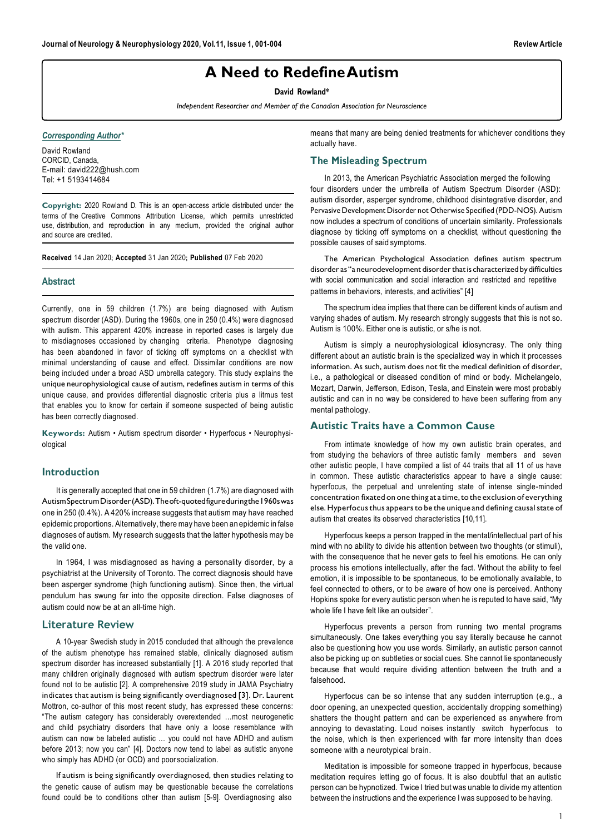# **A Need to RedefineAutism**

**David Rowland\***

*Independent Researcher and Member of the Canadian Association for Neuroscience*

*Corresponding Author\**

David Rowland CORCID, Canada, E-mail[: david222@hush.com](mailto:david222@hush.com) Tel: +1 5193414684

**Copyright:** 2020 Rowland D. This is an open-access article distributed under the terms of the Creative Commons Attribution License, which permits unrestricted use, distribution, and reproduction in any medium, provided the original author and source are credited.

**Received** 14 Jan 2020; **Accepted** 31 Jan 2020; **Published** 07 Feb 2020

#### **Abstract**

Currently, one in 59 children (1.7%) are being diagnosed with Autism spectrum disorder (ASD). During the 1960s, one in 250 (0.4%) were diagnosed with autism. This apparent 420% increase in reported cases is largely due to misdiagnoses occasioned by changing criteria. Phenotype diagnosing has been abandoned in favor of ticking off symptoms on a checklist with minimal understanding of cause and effect. Dissimilar conditions are now being included under a broad ASD umbrella category. This study explains the unique neurophysiological cause of autism, redefines autism in terms of this unique cause, and provides differential diagnostic criteria plus a litmus test that enables you to know for certain if someone suspected of being autistic has been correctly diagnosed.

**Keywords:** Autism • Autism spectrum disorder • Hyperfocus • Neurophysiological

# **Introduction**

It is generally accepted that one in 59 children (1.7%) are diagnosed with AutismSpectrumDisorder(ASD).Theoft-quotedfigureduringthe1960swas one in 250 (0.4%). A 420% increase suggests that autism may have reached epidemic proportions. Alternatively, theremay have been an epidemic in false diagnoses of autism. My research suggests that the latter hypothesis may be the valid one.

In 1964, I was misdiagnosed as having a personality disorder, by a psychiatrist at the University of Toronto. The correct diagnosis should have been asperger syndrome (high functioning autism). Since then, the virtual pendulum has swung far into the opposite direction. False diagnoses of autism could now be at an all-time high.

### **Literature Review**

A 10-year Swedish study in 2015 concluded that although the prevalence of the autism phenotype has remained stable, clinically diagnosed autism spectrum disorder has increased substantially [1]. A 2016 study reported that many children originally diagnosed with autism spectrum disorder were later found not to be autistic [2]. A comprehensive 2019 study in JAMA Psychiatry indicates that autism is being significantly overdiagnosed [3]. Dr. Laurent Mottron, co-author of this most recent study, has expressed these concerns: "The autism category has considerably overextended …most neurogenetic and child psychiatry disorders that have only a loose resemblance with autism can now be labeled autistic … you could not have ADHD and autism before 2013; now you can" [4]. Doctors now tend to label as autistic anyone who simply has ADHD (or OCD) and poor socialization.

If autism is being significantly overdiagnosed, then studies relating to the genetic cause of autism may be questionable because the correlations found could be to conditions other than autism [5-9]. Overdiagnosing also

means that many are being denied treatments for whichever conditions they actually have.

# **The Misleading Spectrum**

In 2013, the American Psychiatric Association merged the following four disorders under the umbrella of Autism Spectrum Disorder (ASD): autism disorder, asperger syndrome, childhood disintegrative disorder, and Pervasive Development Disorder not Otherwise Specified (PDD-NOS). Autism now includes a spectrum of conditions of uncertain similarity. Professionals diagnose by ticking off symptoms on a checklist, without questioning the possible causes of said symptoms.

The American Psychological Association defines autism spectrum disorder as "a neurodevelopment disorder that is characterized by difficulties with social communication and social interaction and restricted and repetitive patterns in behaviors, interests, and activities" [4]

The spectrum idea implies that there can be different kinds of autism and varying shades of autism. My research strongly suggests that this is not so. Autism is 100%. Either one is autistic, or s/he is not.

Autism is simply a neurophysiological idiosyncrasy. The only thing different about an autistic brain is the specialized way in which it processes information. As such, autism does not fit the medical definition of disorder, i.e., a pathological or diseased condition of mind or body. Michelangelo, Mozart, Darwin, Jefferson, Edison, Tesla, and Einstein were most probably autistic and can in no way be considered to have been suffering from any mental pathology.

# **Autistic Traits have a Common Cause**

From intimate knowledge of how my own autistic brain operates, and from studying the behaviors of three autistic family members and seven other autistic people, I have compiled a list of 44 traits that all 11 of us have in common. These autistic characteristics appear to have a single cause: hyperfocus, the perpetual and unrelenting state of intense single-minded concentration fixated on one thing at a time, to the exclusion of everything else. Hyperfocus thus appears to be the unique and defining causal state of autism that creates its observed characteristics [10,11].

Hyperfocus keeps a person trapped in the mental/intellectual part of his mind with no ability to divide his attention between two thoughts (or stimuli), with the consequence that he never gets to feel his emotions. He can only process his emotions intellectually, after the fact. Without the ability to feel emotion, it is impossible to be spontaneous, to be emotionally available, to feel connected to others, or to be aware of how one is perceived. Anthony Hopkins spoke for every autistic person when he is reputed to have said, "My whole life I have felt like an outsider".

Hyperfocus prevents a person from running two mental programs simultaneously. One takes everything you say literally because he cannot also be questioning how you use words. Similarly, an autistic person cannot also be picking up on subtleties or social cues. She cannot lie spontaneously because that would require dividing attention between the truth and a falsehood.

Hyperfocus can be so intense that any sudden interruption (e.g., a door opening, an unexpected question, accidentally dropping something) shatters the thought pattern and can be experienced as anywhere from annoying to devastating. Loud noises instantly switch hyperfocus to the noise, which is then experienced with far more intensity than does someone with a neurotypical brain.

Meditation is impossible for someone trapped in hyperfocus, because meditation requires letting go of focus. It is also doubtful that an autistic person can be hypnotized. Twice I tried but was unable to divide my attention between the instructions and the experience I was supposed to be having.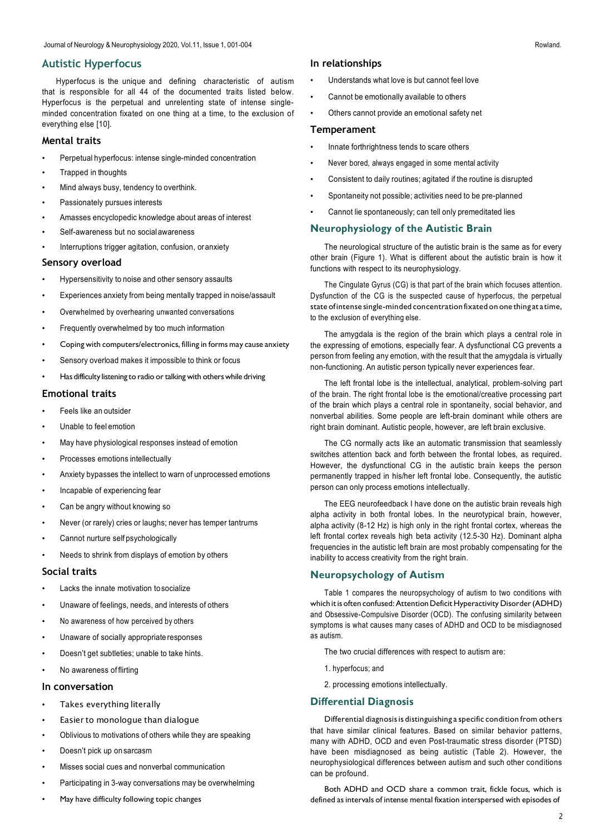# **Autistic Hyperfocus**

Hyperfocus is the unique and defining characteristic of autism that is responsible for all 44 of the documented traits listed below. Hyperfocus is the perpetual and unrelenting state of intense singleminded concentration fixated on one thing at a time, to the exclusion of everything else [10].

## **Mental traits**

- Perpetual hyperfocus: intense single-minded concentration
- Trapped in thoughts
- Mind always busy, tendency to overthink.
- Passionately pursues interests
- Amasses encyclopedic knowledge about areas of interest
- Self-awareness but no socialawareness
- Interruptions trigger agitation, confusion, or anxiety

### **Sensory overload**

- Hypersensitivity to noise and other sensory assaults
- Experiences anxiety from being mentally trapped in noise/assault
- Overwhelmed by overhearing unwanted conversations
- Frequently overwhelmed by too much information
- Coping with computers/electronics, filling in forms may cause anxiety
- Sensory overload makes it impossible to think or focus
- Has difficulty listening to radio or talking with others while driving

### **Emotional traits**

- Feels like an outsider
- Unable to feel emotion
- May have physiological responses instead of emotion
- Processes emotions intellectually
- Anxiety bypasses the intellect to warn of unprocessed emotions
- Incapable of experiencing fear
- Can be angry without knowing so
- Never (or rarely) cries or laughs; never has temper tantrums
- Cannot nurture self psychologically
- Needs to shrink from displays of emotion by others

## **Social traits**

- Lacks the innate motivation tosocialize
- Unaware of feelings, needs, and interests of others
- No awareness of how perceived by others
- Unaware of socially appropriate responses
- Doesn't get subtleties; unable to take hints.
- No awareness of flirting

## **In conversation**

- Takes everything literally
- Easier to monologue than dialogue
- Oblivious to motivations of others while they are speaking
- Doesn't pick up on sarcasm
- Misses social cues and nonverbal communication
- Participating in 3-way conversations may be overwhelming
- May have difficulty following topic changes

#### **In relationships**

- Understands what love is but cannot feel love
- Cannot be emotionally available to others
- Others cannot provide an emotional safety net

#### **Temperament**

- Innate forthrightness tends to scare others
- Never bored, always engaged in some mental activity
- Consistent to daily routines; agitated if the routine is disrupted
- Spontaneity not possible; activities need to be pre-planned
- Cannot lie spontaneously; can tell only premeditated lies

# **Neurophysiology of the Autistic Brain**

The neurological structure of the autistic brain is the same as for every other brain (Figure 1). What is different about the autistic brain is how it functions with respect to its neurophysiology.

The Cingulate Gyrus (CG) is that part of the brain which focuses attention. Dysfunction of the CG is the suspected cause of hyperfocus, the perpetual state ofintense single-minded concentration fixated on one thing at a time, to the exclusion of everything else.

The amygdala is the region of the brain which plays a central role in the expressing of emotions, especially fear. A dysfunctional CG prevents a person from feeling any emotion, with the result that the amygdala is virtually non-functioning. An autistic person typically never experiences fear.

The left frontal lobe is the intellectual, analytical, problem-solving part of the brain. The right frontal lobe is the emotional/creative processing part of the brain which plays a central role in spontaneity, social behavior, and nonverbal abilities. Some people are left-brain dominant while others are right brain dominant. Autistic people, however, are left brain exclusive.

The CG normally acts like an automatic transmission that seamlessly switches attention back and forth between the frontal lobes, as required. However, the dysfunctional CG in the autistic brain keeps the person permanently trapped in his/her left frontal lobe. Consequently, the autistic person can only process emotions intellectually.

The EEG neurofeedback I have done on the autistic brain reveals high alpha activity in both frontal lobes. In the neurotypical brain, however, alpha activity (8-12 Hz) is high only in the right frontal cortex, whereas the left frontal cortex reveals high beta activity (12.5-30 Hz). Dominant alpha frequencies in the autistic left brain are most probably compensating for the inability to access creativity from the right brain.

## **Neuropsychology of Autism**

Table 1 compares the neuropsychology of autism to two conditions with which it is often confused: Attention Deficit Hyperactivity Disorder (ADHD) and Obsessive-Compulsive Disorder (OCD). The confusing similarity between symptoms is what causes many cases of ADHD and OCD to be misdiagnosed as autism.

- The two crucial differences with respect to autism are:
- 1. hyperfocus; and
- 2. processing emotions intellectually.

# **Differential Diagnosis**

Differential diagnosisis distinguishing a specific condition from others that have similar clinical features. Based on similar behavior patterns, many with ADHD, OCD and even Post-traumatic stress disorder (PTSD) have been misdiagnosed as being autistic (Table 2). However, the neurophysiological differences between autism and such other conditions can be profound.

Both ADHD and OCD share a common trait, fickle focus, which is defined as intervals of intense mental fixation interspersed with episodes of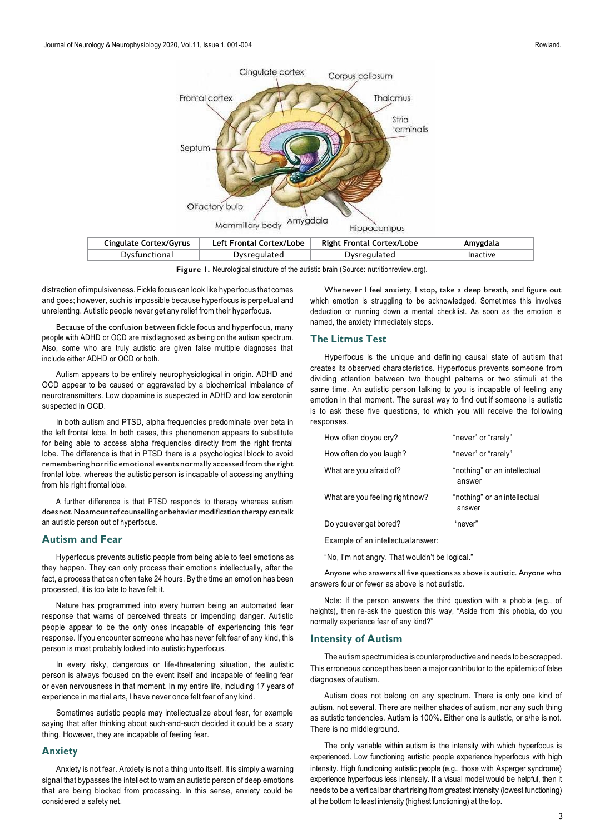

**Figure 1.** Neurological structure of the autistic brain (Source: nutritionreview.org).

distraction of impulsiveness. Fickle focus can look like hyperfocus that comes and goes; however, such is impossible because hyperfocus is perpetual and unrelenting. Autistic people never get any relief from their hyperfocus.

Because of the confusion between fickle focus and hyperfocus, many people with ADHD or OCD are misdiagnosed as being on the autism spectrum. Also, some who are truly autistic are given false multiple diagnoses that include either ADHD or OCD or both.

Autism appears to be entirely neurophysiological in origin. ADHD and OCD appear to be caused or aggravated by a biochemical imbalance of neurotransmitters. Low dopamine is suspected in ADHD and low serotonin suspected in OCD.

In both autism and PTSD, alpha frequencies predominate over beta in the left frontal lobe. In both cases, this phenomenon appears to substitute for being able to access alpha frequencies directly from the right frontal lobe. The difference is that in PTSD there is a psychological block to avoid remembering horrific emotional events normally accessed from the right frontal lobe, whereas the autistic person is incapable of accessing anything from his right frontal lobe.

A further difference is that PTSD responds to therapy whereas autism does not. No amount of counselling or behavior modification therapy can talk an autistic person out of hyperfocus.

# **Autism and Fear**

Hyperfocus prevents autistic people from being able to feel emotions as they happen. They can only process their emotions intellectually, after the fact, a process that can often take 24 hours. By the time an emotion has been processed, it is too late to have felt it.

Nature has programmed into every human being an automated fear response that warns of perceived threats or impending danger. Autistic people appear to be the only ones incapable of experiencing this fear response. If you encounter someone who has never felt fear of any kind, this person is most probably locked into autistic hyperfocus.

In every risky, dangerous or life-threatening situation, the autistic person is always focused on the event itself and incapable of feeling fear or even nervousness in that moment. In my entire life, including 17 years of experience in martial arts, I have never once felt fear of any kind.

Sometimes autistic people may intellectualize about fear, for example saying that after thinking about such-and-such decided it could be a scary thing. However, they are incapable of feeling fear.

## **Anxiety**

Anxiety is not fear. Anxiety is not a thing unto itself. It is simply a warning signal that bypasses the intellect to warn an autistic person of deep emotions that are being blocked from processing. In this sense, anxiety could be considered a safety net.

Whenever I feel anxiety, I stop, take a deep breath, and figure out which emotion is struggling to be acknowledged. Sometimes this involves deduction or running down a mental checklist. As soon as the emotion is named, the anxiety immediately stops.

## **The Litmus Test**

Hyperfocus is the unique and defining causal state of autism that creates its observed characteristics. Hyperfocus prevents someone from dividing attention between two thought patterns or two stimuli at the same time. An autistic person talking to you is incapable of feeling any emotion in that moment. The surest way to find out if someone is autistic is to ask these five questions, to which you will receive the following responses.

| How often do you cry?           | "never" or "rarely"                    |
|---------------------------------|----------------------------------------|
| How often do you laugh?         | "never" or "rarely"                    |
| What are you afraid of?         | "nothing" or an intellectual<br>answer |
| What are you feeling right now? | "nothing" or an intellectual<br>answer |
| Do you ever get bored?          | "never"                                |

Example of an intellectualanswer:

"No, I'm not angry. That wouldn't be logical."

Anyone who answers all five questions as above is autistic. Anyone who answers four or fewer as above is not autistic.

Note: If the person answers the third question with a phobia (e.g., of heights), then re-ask the question this way, "Aside from this phobia, do you normally experience fear of any kind?"

#### **Intensity of Autism**

The autismspectrumidea is counterproductiveand needs tobe scrapped. This erroneous concept has been a major contributor to the epidemic of false diagnoses of autism.

Autism does not belong on any spectrum. There is only one kind of autism, not several. There are neither shades of autism, nor any such thing as autistic tendencies. Autism is 100%. Either one is autistic, or s/he is not. There is no middle ground.

The only variable within autism is the intensity with which hyperfocus is experienced. Low functioning autistic people experience hyperfocus with high intensity. High functioning autistic people (e.g., those with Asperger syndrome) experience hyperfocus less intensely. If a visual model would be helpful, then it needs to be a vertical bar chart rising from greatest intensity (lowest functioning) at the bottom to least intensity (highest functioning) at the top.